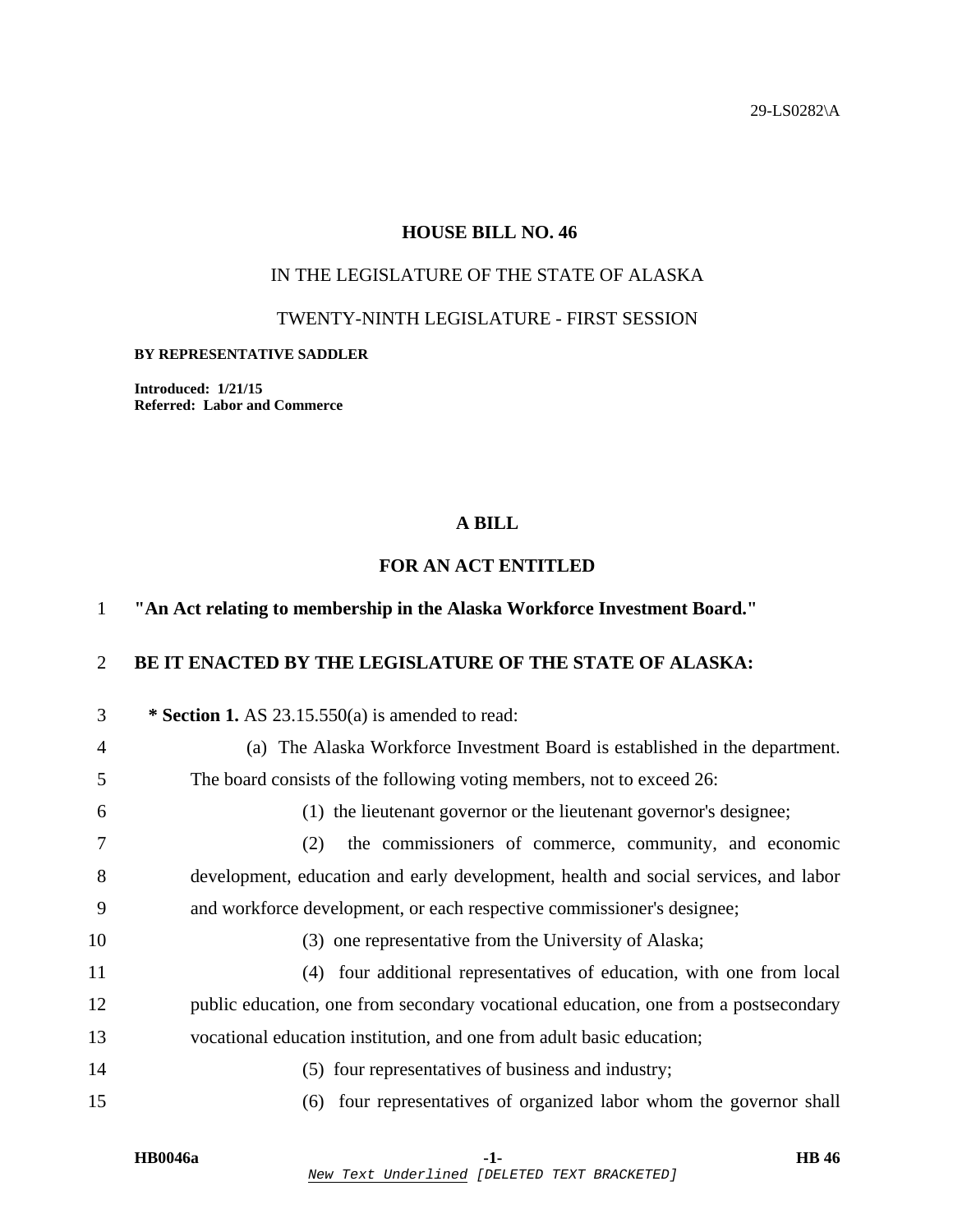29-LS0282\A

# **HOUSE BILL NO. 46**

# IN THE LEGISLATURE OF THE STATE OF ALASKA

### TWENTY-NINTH LEGISLATURE - FIRST SESSION

#### **BY REPRESENTATIVE SADDLER**

**Introduced: 1/21/15 Referred: Labor and Commerce** 

### **A BILL**

## **FOR AN ACT ENTITLED**

### 1 **"An Act relating to membership in the Alaska Workforce Investment Board."**

# 2 **BE IT ENACTED BY THE LEGISLATURE OF THE STATE OF ALASKA:**

| 3  | * Section 1. AS $23.15.550(a)$ is amended to read:                                  |
|----|-------------------------------------------------------------------------------------|
| 4  | (a) The Alaska Workforce Investment Board is established in the department.         |
| 5  | The board consists of the following voting members, not to exceed 26:               |
| 6  | (1) the lieutenant governor or the lieutenant governor's designee;                  |
| 7  | the commissioners of commerce, community, and economic<br>(2)                       |
| 8  | development, education and early development, health and social services, and labor |
| 9  | and workforce development, or each respective commissioner's designee;              |
| 10 | (3) one representative from the University of Alaska;                               |
| 11 | four additional representatives of education, with one from local<br>(4)            |
| 12 | public education, one from secondary vocational education, one from a postsecondary |
| 13 | vocational education institution, and one from adult basic education;               |
| 14 | (5) four representatives of business and industry;                                  |
| 15 | four representatives of organized labor whom the governor shall<br>(6)              |